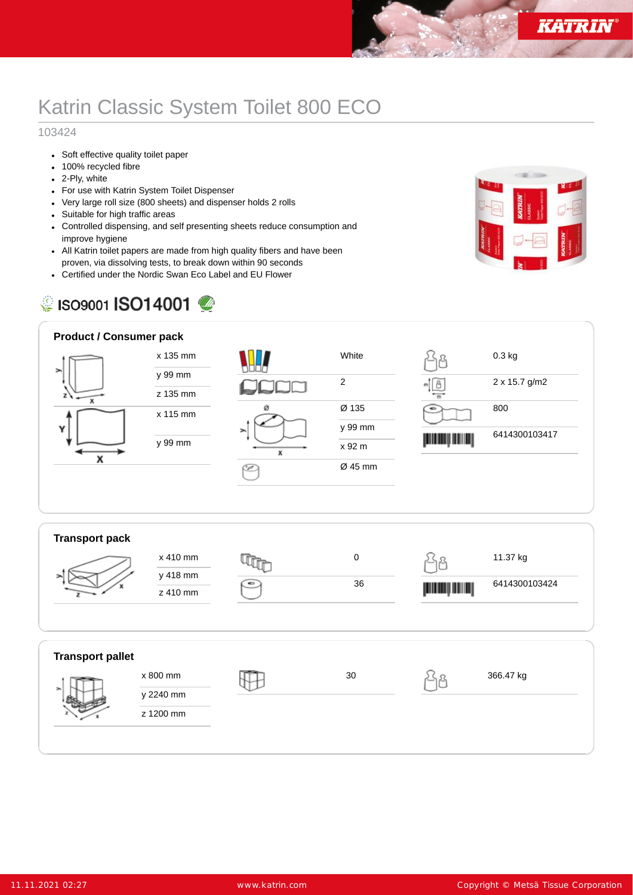## Katrin Classic System Toilet 800 ECO

## 103424

- Soft effective quality toilet paper
- 100% recycled fibre
- 2-Ply, white
- For use with Katrin System Toilet Dispenser
- Very large roll size (800 sheets) and dispenser holds 2 rolls
- Suitable for high traffic areas
- Controlled dispensing, and self presenting sheets reduce consumption and improve hygiene
- All Katrin toilet papers are made from high quality fibers and have been proven, via dissolving tests, to break down within 90 seconds
- Certified under the Nordic Swan Eco Label and EU Flower

## SISO9001 **ISO14001**